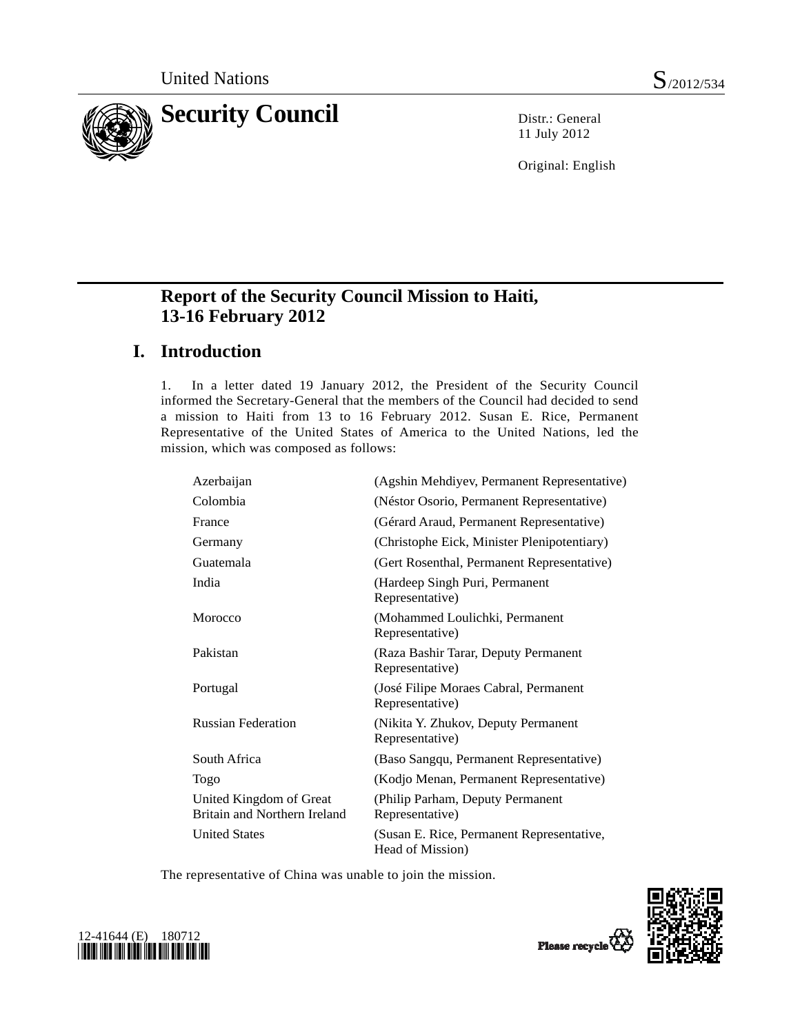

11 July 2012

Original: English

## **Report of the Security Council Mission to Haiti, 13-16 February 2012**

## **I. Introduction**

1. In a letter dated 19 January 2012, the President of the Security Council informed the Secretary-General that the members of the Council had decided to send a mission to Haiti from 13 to 16 February 2012. Susan E. Rice, Permanent Representative of the United States of America to the United Nations, led the mission, which was composed as follows:

| (Agshin Mehdiyev, Permanent Representative)                   |
|---------------------------------------------------------------|
| (Néstor Osorio, Permanent Representative)                     |
| (Gérard Araud, Permanent Representative)                      |
| (Christophe Eick, Minister Plenipotentiary)                   |
| (Gert Rosenthal, Permanent Representative)                    |
| (Hardeep Singh Puri, Permanent<br>Representative)             |
| (Mohammed Loulichki, Permanent<br>Representative)             |
| (Raza Bashir Tarar, Deputy Permanent<br>Representative)       |
| (José Filipe Moraes Cabral, Permanent<br>Representative)      |
| (Nikita Y. Zhukov, Deputy Permanent<br>Representative)        |
| (Baso Sangqu, Permanent Representative)                       |
| (Kodjo Menan, Permanent Representative)                       |
| (Philip Parham, Deputy Permanent<br>Representative)           |
| (Susan E. Rice, Permanent Representative,<br>Head of Mission) |
|                                                               |

The representative of China was unable to join the mission.



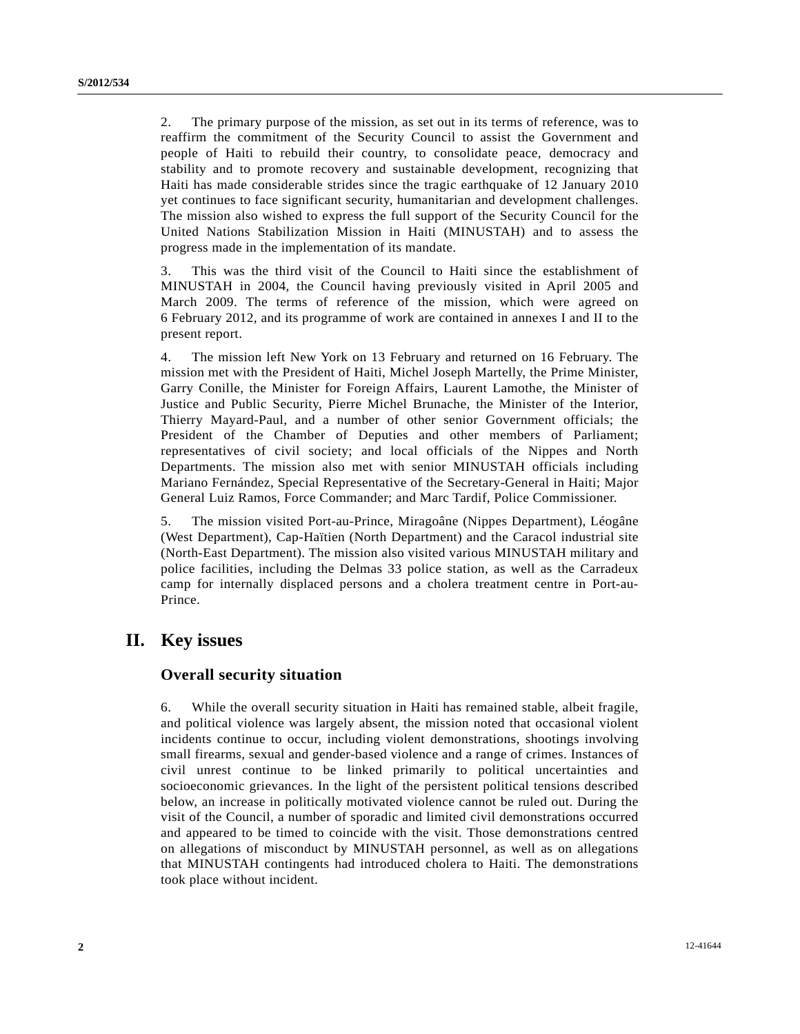2. The primary purpose of the mission, as set out in its terms of reference, was to reaffirm the commitment of the Security Council to assist the Government and people of Haiti to rebuild their country, to consolidate peace, democracy and stability and to promote recovery and sustainable development, recognizing that Haiti has made considerable strides since the tragic earthquake of 12 January 2010 yet continues to face significant security, humanitarian and development challenges. The mission also wished to express the full support of the Security Council for the United Nations Stabilization Mission in Haiti (MINUSTAH) and to assess the progress made in the implementation of its mandate.

3. This was the third visit of the Council to Haiti since the establishment of MINUSTAH in 2004, the Council having previously visited in April 2005 and March 2009. The terms of reference of the mission, which were agreed on 6 February 2012, and its programme of work are contained in annexes I and II to the present report.

4. The mission left New York on 13 February and returned on 16 February. The mission met with the President of Haiti, Michel Joseph Martelly, the Prime Minister, Garry Conille, the Minister for Foreign Affairs, Laurent Lamothe, the Minister of Justice and Public Security, Pierre Michel Brunache, the Minister of the Interior, Thierry Mayard-Paul, and a number of other senior Government officials; the President of the Chamber of Deputies and other members of Parliament; representatives of civil society; and local officials of the Nippes and North Departments. The mission also met with senior MINUSTAH officials including Mariano Fernández, Special Representative of the Secretary-General in Haiti; Major General Luiz Ramos, Force Commander; and Marc Tardif, Police Commissioner.

5. The mission visited Port-au-Prince, Miragoâne (Nippes Department), Léogâne (West Department), Cap-Haïtien (North Department) and the Caracol industrial site (North-East Department). The mission also visited various MINUSTAH military and police facilities, including the Delmas 33 police station, as well as the Carradeux camp for internally displaced persons and a cholera treatment centre in Port-au-Prince.

### **II. Key issues**

#### **Overall security situation**

6. While the overall security situation in Haiti has remained stable, albeit fragile, and political violence was largely absent, the mission noted that occasional violent incidents continue to occur, including violent demonstrations, shootings involving small firearms, sexual and gender-based violence and a range of crimes. Instances of civil unrest continue to be linked primarily to political uncertainties and socioeconomic grievances. In the light of the persistent political tensions described below, an increase in politically motivated violence cannot be ruled out. During the visit of the Council, a number of sporadic and limited civil demonstrations occurred and appeared to be timed to coincide with the visit. Those demonstrations centred on allegations of misconduct by MINUSTAH personnel, as well as on allegations that MINUSTAH contingents had introduced cholera to Haiti. The demonstrations took place without incident.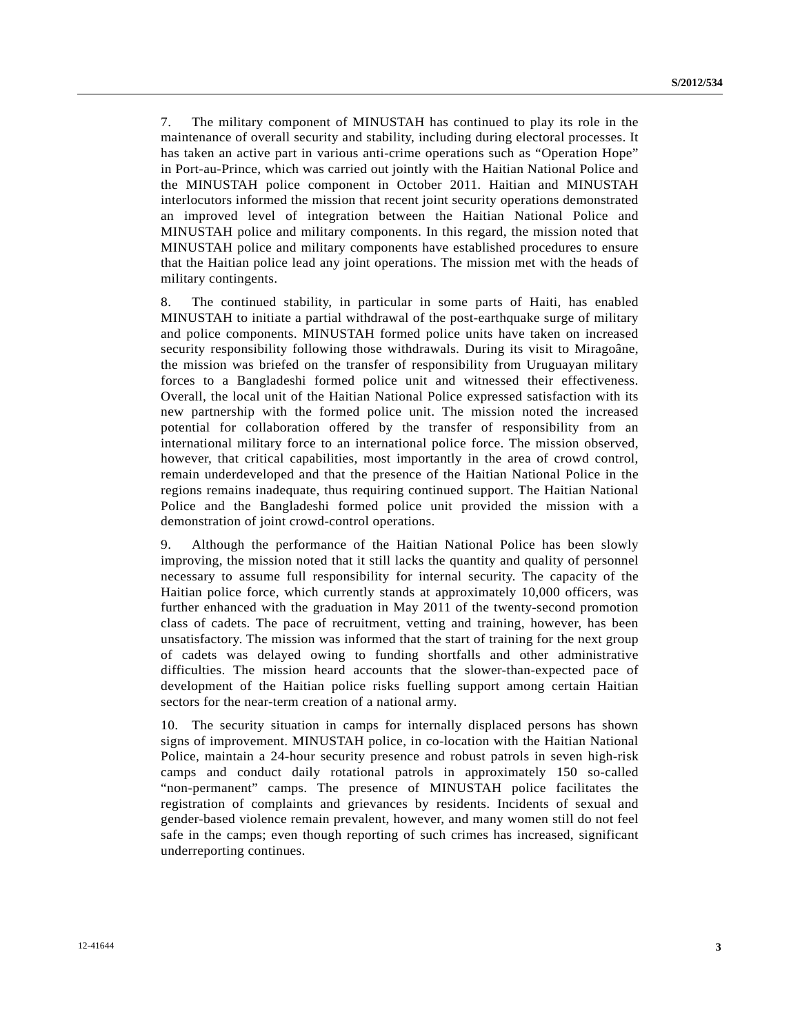7. The military component of MINUSTAH has continued to play its role in the maintenance of overall security and stability, including during electoral processes. It has taken an active part in various anti-crime operations such as "Operation Hope" in Port-au-Prince, which was carried out jointly with the Haitian National Police and the MINUSTAH police component in October 2011. Haitian and MINUSTAH interlocutors informed the mission that recent joint security operations demonstrated an improved level of integration between the Haitian National Police and MINUSTAH police and military components. In this regard, the mission noted that MINUSTAH police and military components have established procedures to ensure that the Haitian police lead any joint operations. The mission met with the heads of military contingents.

8. The continued stability, in particular in some parts of Haiti, has enabled MINUSTAH to initiate a partial withdrawal of the post-earthquake surge of military and police components. MINUSTAH formed police units have taken on increased security responsibility following those withdrawals. During its visit to Miragoâne, the mission was briefed on the transfer of responsibility from Uruguayan military forces to a Bangladeshi formed police unit and witnessed their effectiveness. Overall, the local unit of the Haitian National Police expressed satisfaction with its new partnership with the formed police unit. The mission noted the increased potential for collaboration offered by the transfer of responsibility from an international military force to an international police force. The mission observed, however, that critical capabilities, most importantly in the area of crowd control, remain underdeveloped and that the presence of the Haitian National Police in the regions remains inadequate, thus requiring continued support. The Haitian National Police and the Bangladeshi formed police unit provided the mission with a demonstration of joint crowd-control operations.

9. Although the performance of the Haitian National Police has been slowly improving, the mission noted that it still lacks the quantity and quality of personnel necessary to assume full responsibility for internal security. The capacity of the Haitian police force, which currently stands at approximately 10,000 officers, was further enhanced with the graduation in May 2011 of the twenty-second promotion class of cadets. The pace of recruitment, vetting and training, however, has been unsatisfactory. The mission was informed that the start of training for the next group of cadets was delayed owing to funding shortfalls and other administrative difficulties. The mission heard accounts that the slower-than-expected pace of development of the Haitian police risks fuelling support among certain Haitian sectors for the near-term creation of a national army.

10. The security situation in camps for internally displaced persons has shown signs of improvement. MINUSTAH police, in co-location with the Haitian National Police, maintain a 24-hour security presence and robust patrols in seven high-risk camps and conduct daily rotational patrols in approximately 150 so-called "non-permanent" camps. The presence of MINUSTAH police facilitates the registration of complaints and grievances by residents. Incidents of sexual and gender-based violence remain prevalent, however, and many women still do not feel safe in the camps; even though reporting of such crimes has increased, significant underreporting continues.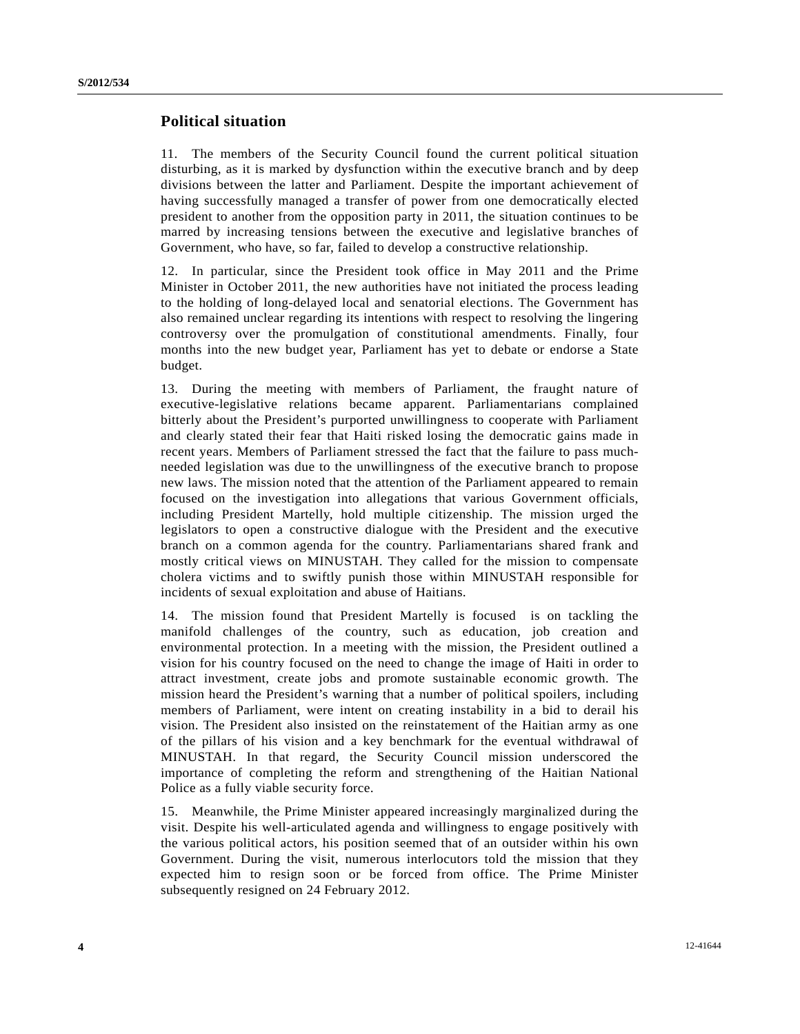#### **Political situation**

11. The members of the Security Council found the current political situation disturbing, as it is marked by dysfunction within the executive branch and by deep divisions between the latter and Parliament. Despite the important achievement of having successfully managed a transfer of power from one democratically elected president to another from the opposition party in 2011, the situation continues to be marred by increasing tensions between the executive and legislative branches of Government, who have, so far, failed to develop a constructive relationship.

12. In particular, since the President took office in May 2011 and the Prime Minister in October 2011, the new authorities have not initiated the process leading to the holding of long-delayed local and senatorial elections. The Government has also remained unclear regarding its intentions with respect to resolving the lingering controversy over the promulgation of constitutional amendments. Finally, four months into the new budget year, Parliament has yet to debate or endorse a State budget.

13. During the meeting with members of Parliament, the fraught nature of executive-legislative relations became apparent. Parliamentarians complained bitterly about the President's purported unwillingness to cooperate with Parliament and clearly stated their fear that Haiti risked losing the democratic gains made in recent years. Members of Parliament stressed the fact that the failure to pass muchneeded legislation was due to the unwillingness of the executive branch to propose new laws. The mission noted that the attention of the Parliament appeared to remain focused on the investigation into allegations that various Government officials, including President Martelly, hold multiple citizenship. The mission urged the legislators to open a constructive dialogue with the President and the executive branch on a common agenda for the country. Parliamentarians shared frank and mostly critical views on MINUSTAH. They called for the mission to compensate cholera victims and to swiftly punish those within MINUSTAH responsible for incidents of sexual exploitation and abuse of Haitians.

14. The mission found that President Martelly is focused is on tackling the manifold challenges of the country, such as education, job creation and environmental protection. In a meeting with the mission, the President outlined a vision for his country focused on the need to change the image of Haiti in order to attract investment, create jobs and promote sustainable economic growth. The mission heard the President's warning that a number of political spoilers, including members of Parliament, were intent on creating instability in a bid to derail his vision. The President also insisted on the reinstatement of the Haitian army as one of the pillars of his vision and a key benchmark for the eventual withdrawal of MINUSTAH. In that regard, the Security Council mission underscored the importance of completing the reform and strengthening of the Haitian National Police as a fully viable security force.

15. Meanwhile, the Prime Minister appeared increasingly marginalized during the visit. Despite his well-articulated agenda and willingness to engage positively with the various political actors, his position seemed that of an outsider within his own Government. During the visit, numerous interlocutors told the mission that they expected him to resign soon or be forced from office. The Prime Minister subsequently resigned on 24 February 2012.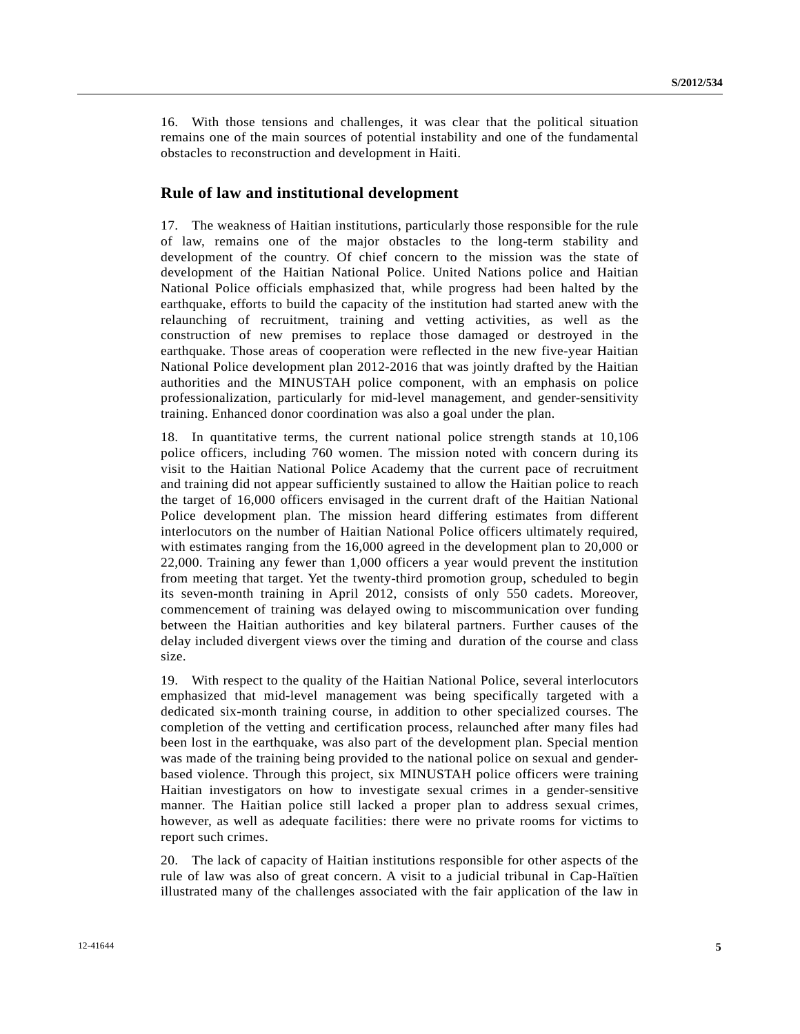16. With those tensions and challenges, it was clear that the political situation remains one of the main sources of potential instability and one of the fundamental obstacles to reconstruction and development in Haiti.

#### **Rule of law and institutional development**

17. The weakness of Haitian institutions, particularly those responsible for the rule of law, remains one of the major obstacles to the long-term stability and development of the country. Of chief concern to the mission was the state of development of the Haitian National Police. United Nations police and Haitian National Police officials emphasized that, while progress had been halted by the earthquake, efforts to build the capacity of the institution had started anew with the relaunching of recruitment, training and vetting activities, as well as the construction of new premises to replace those damaged or destroyed in the earthquake. Those areas of cooperation were reflected in the new five-year Haitian National Police development plan 2012-2016 that was jointly drafted by the Haitian authorities and the MINUSTAH police component, with an emphasis on police professionalization, particularly for mid-level management, and gender-sensitivity training. Enhanced donor coordination was also a goal under the plan.

18. In quantitative terms, the current national police strength stands at 10,106 police officers, including 760 women. The mission noted with concern during its visit to the Haitian National Police Academy that the current pace of recruitment and training did not appear sufficiently sustained to allow the Haitian police to reach the target of 16,000 officers envisaged in the current draft of the Haitian National Police development plan. The mission heard differing estimates from different interlocutors on the number of Haitian National Police officers ultimately required, with estimates ranging from the 16,000 agreed in the development plan to 20,000 or 22,000. Training any fewer than 1,000 officers a year would prevent the institution from meeting that target. Yet the twenty-third promotion group, scheduled to begin its seven-month training in April 2012, consists of only 550 cadets. Moreover, commencement of training was delayed owing to miscommunication over funding between the Haitian authorities and key bilateral partners. Further causes of the delay included divergent views over the timing and duration of the course and class size.

19. With respect to the quality of the Haitian National Police, several interlocutors emphasized that mid-level management was being specifically targeted with a dedicated six-month training course, in addition to other specialized courses. The completion of the vetting and certification process, relaunched after many files had been lost in the earthquake, was also part of the development plan. Special mention was made of the training being provided to the national police on sexual and genderbased violence. Through this project, six MINUSTAH police officers were training Haitian investigators on how to investigate sexual crimes in a gender-sensitive manner. The Haitian police still lacked a proper plan to address sexual crimes, however, as well as adequate facilities: there were no private rooms for victims to report such crimes.

20. The lack of capacity of Haitian institutions responsible for other aspects of the rule of law was also of great concern. A visit to a judicial tribunal in Cap-Haïtien illustrated many of the challenges associated with the fair application of the law in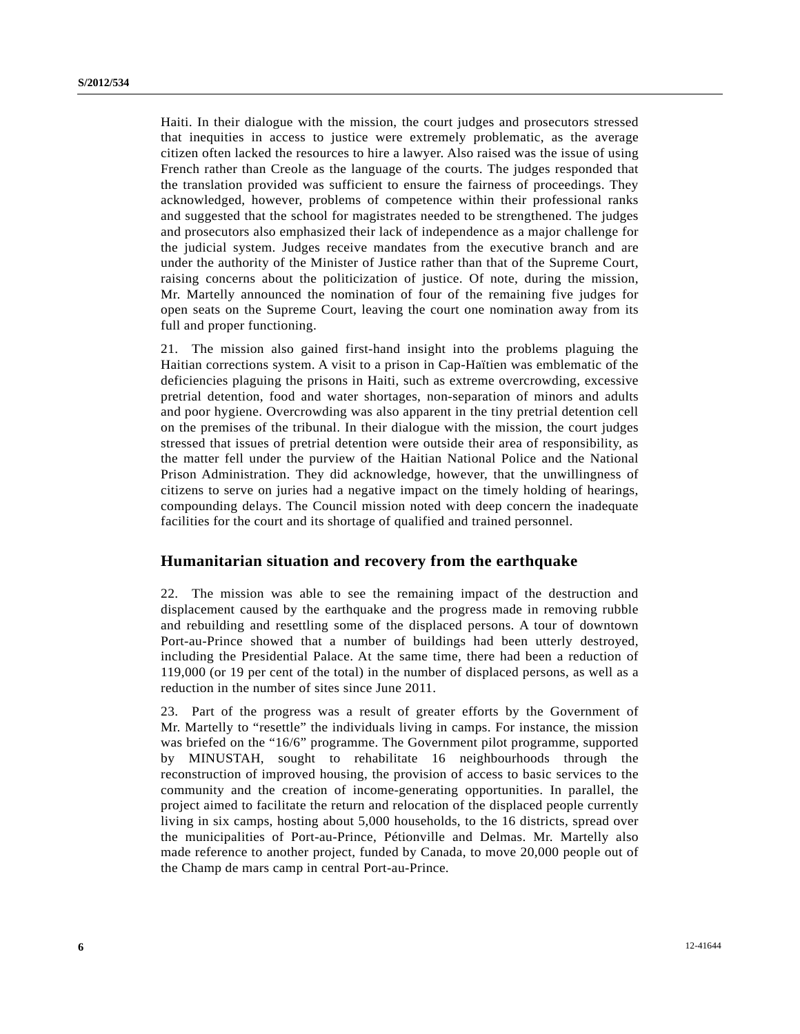Haiti. In their dialogue with the mission, the court judges and prosecutors stressed that inequities in access to justice were extremely problematic, as the average citizen often lacked the resources to hire a lawyer. Also raised was the issue of using French rather than Creole as the language of the courts. The judges responded that the translation provided was sufficient to ensure the fairness of proceedings. They acknowledged, however, problems of competence within their professional ranks and suggested that the school for magistrates needed to be strengthened. The judges and prosecutors also emphasized their lack of independence as a major challenge for the judicial system. Judges receive mandates from the executive branch and are under the authority of the Minister of Justice rather than that of the Supreme Court, raising concerns about the politicization of justice. Of note, during the mission, Mr. Martelly announced the nomination of four of the remaining five judges for open seats on the Supreme Court, leaving the court one nomination away from its full and proper functioning.

21. The mission also gained first-hand insight into the problems plaguing the Haitian corrections system. A visit to a prison in Cap-Haïtien was emblematic of the deficiencies plaguing the prisons in Haiti, such as extreme overcrowding, excessive pretrial detention, food and water shortages, non-separation of minors and adults and poor hygiene. Overcrowding was also apparent in the tiny pretrial detention cell on the premises of the tribunal. In their dialogue with the mission, the court judges stressed that issues of pretrial detention were outside their area of responsibility, as the matter fell under the purview of the Haitian National Police and the National Prison Administration. They did acknowledge, however, that the unwillingness of citizens to serve on juries had a negative impact on the timely holding of hearings, compounding delays. The Council mission noted with deep concern the inadequate facilities for the court and its shortage of qualified and trained personnel.

#### **Humanitarian situation and recovery from the earthquake**

22. The mission was able to see the remaining impact of the destruction and displacement caused by the earthquake and the progress made in removing rubble and rebuilding and resettling some of the displaced persons. A tour of downtown Port-au-Prince showed that a number of buildings had been utterly destroyed, including the Presidential Palace. At the same time, there had been a reduction of 119,000 (or 19 per cent of the total) in the number of displaced persons, as well as a reduction in the number of sites since June 2011.

23. Part of the progress was a result of greater efforts by the Government of Mr. Martelly to "resettle" the individuals living in camps. For instance, the mission was briefed on the "16/6" programme. The Government pilot programme, supported by MINUSTAH, sought to rehabilitate 16 neighbourhoods through the reconstruction of improved housing, the provision of access to basic services to the community and the creation of income-generating opportunities. In parallel, the project aimed to facilitate the return and relocation of the displaced people currently living in six camps, hosting about 5,000 households, to the 16 districts, spread over the municipalities of Port-au-Prince, Pétionville and Delmas. Mr. Martelly also made reference to another project, funded by Canada, to move 20,000 people out of the Champ de mars camp in central Port-au-Prince.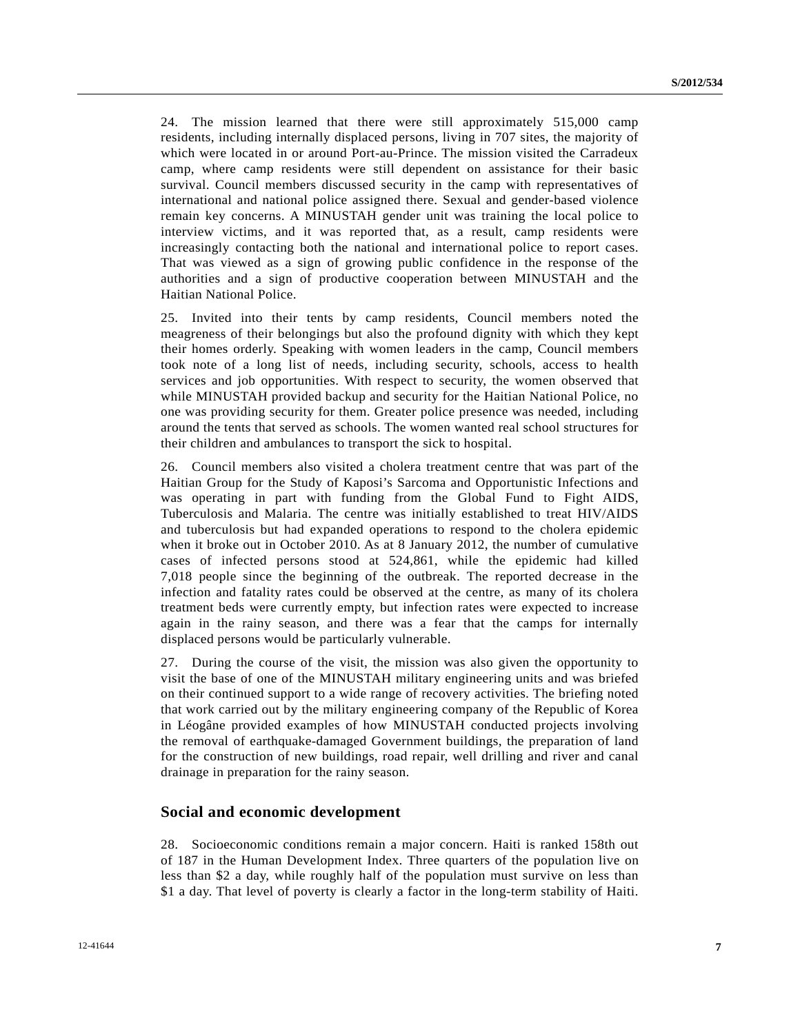24. The mission learned that there were still approximately 515,000 camp residents, including internally displaced persons, living in 707 sites, the majority of which were located in or around Port-au-Prince. The mission visited the Carradeux camp, where camp residents were still dependent on assistance for their basic survival. Council members discussed security in the camp with representatives of international and national police assigned there. Sexual and gender-based violence remain key concerns. A MINUSTAH gender unit was training the local police to interview victims, and it was reported that, as a result, camp residents were increasingly contacting both the national and international police to report cases. That was viewed as a sign of growing public confidence in the response of the authorities and a sign of productive cooperation between MINUSTAH and the Haitian National Police.

25. Invited into their tents by camp residents, Council members noted the meagreness of their belongings but also the profound dignity with which they kept their homes orderly. Speaking with women leaders in the camp, Council members took note of a long list of needs, including security, schools, access to health services and job opportunities. With respect to security, the women observed that while MINUSTAH provided backup and security for the Haitian National Police, no one was providing security for them. Greater police presence was needed, including around the tents that served as schools. The women wanted real school structures for their children and ambulances to transport the sick to hospital.

26. Council members also visited a cholera treatment centre that was part of the Haitian Group for the Study of Kaposi's Sarcoma and Opportunistic Infections and was operating in part with funding from the Global Fund to Fight AIDS, Tuberculosis and Malaria. The centre was initially established to treat HIV/AIDS and tuberculosis but had expanded operations to respond to the cholera epidemic when it broke out in October 2010. As at 8 January 2012, the number of cumulative cases of infected persons stood at 524,861, while the epidemic had killed 7,018 people since the beginning of the outbreak. The reported decrease in the infection and fatality rates could be observed at the centre, as many of its cholera treatment beds were currently empty, but infection rates were expected to increase again in the rainy season, and there was a fear that the camps for internally displaced persons would be particularly vulnerable.

27. During the course of the visit, the mission was also given the opportunity to visit the base of one of the MINUSTAH military engineering units and was briefed on their continued support to a wide range of recovery activities. The briefing noted that work carried out by the military engineering company of the Republic of Korea in Léogâne provided examples of how MINUSTAH conducted projects involving the removal of earthquake-damaged Government buildings, the preparation of land for the construction of new buildings, road repair, well drilling and river and canal drainage in preparation for the rainy season.

#### **Social and economic development**

28. Socioeconomic conditions remain a major concern. Haiti is ranked 158th out of 187 in the Human Development Index. Three quarters of the population live on less than \$2 a day, while roughly half of the population must survive on less than \$1 a day. That level of poverty is clearly a factor in the long-term stability of Haiti.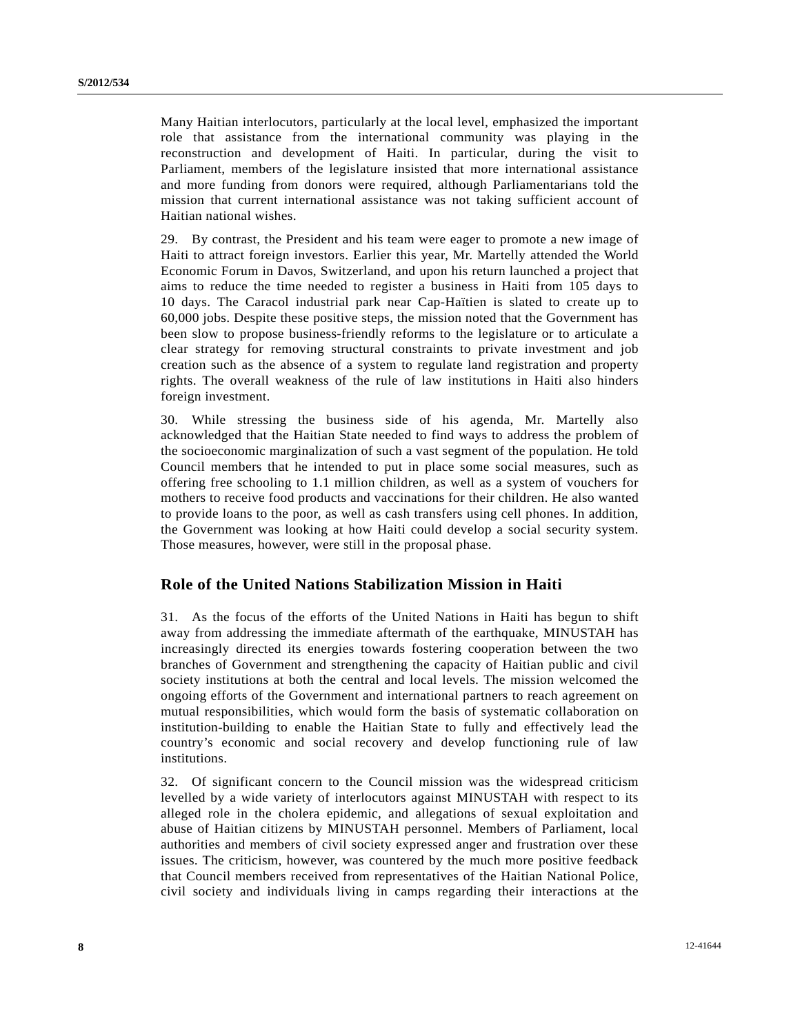Many Haitian interlocutors, particularly at the local level, emphasized the important role that assistance from the international community was playing in the reconstruction and development of Haiti. In particular, during the visit to Parliament, members of the legislature insisted that more international assistance and more funding from donors were required, although Parliamentarians told the mission that current international assistance was not taking sufficient account of Haitian national wishes.

29. By contrast, the President and his team were eager to promote a new image of Haiti to attract foreign investors. Earlier this year, Mr. Martelly attended the World Economic Forum in Davos, Switzerland, and upon his return launched a project that aims to reduce the time needed to register a business in Haiti from 105 days to 10 days. The Caracol industrial park near Cap-Haïtien is slated to create up to 60,000 jobs. Despite these positive steps, the mission noted that the Government has been slow to propose business-friendly reforms to the legislature or to articulate a clear strategy for removing structural constraints to private investment and job creation such as the absence of a system to regulate land registration and property rights. The overall weakness of the rule of law institutions in Haiti also hinders foreign investment.

30. While stressing the business side of his agenda, Mr. Martelly also acknowledged that the Haitian State needed to find ways to address the problem of the socioeconomic marginalization of such a vast segment of the population. He told Council members that he intended to put in place some social measures, such as offering free schooling to 1.1 million children, as well as a system of vouchers for mothers to receive food products and vaccinations for their children. He also wanted to provide loans to the poor, as well as cash transfers using cell phones. In addition, the Government was looking at how Haiti could develop a social security system. Those measures, however, were still in the proposal phase.

#### **Role of the United Nations Stabilization Mission in Haiti**

31. As the focus of the efforts of the United Nations in Haiti has begun to shift away from addressing the immediate aftermath of the earthquake, MINUSTAH has increasingly directed its energies towards fostering cooperation between the two branches of Government and strengthening the capacity of Haitian public and civil society institutions at both the central and local levels. The mission welcomed the ongoing efforts of the Government and international partners to reach agreement on mutual responsibilities, which would form the basis of systematic collaboration on institution-building to enable the Haitian State to fully and effectively lead the country's economic and social recovery and develop functioning rule of law institutions.

32. Of significant concern to the Council mission was the widespread criticism levelled by a wide variety of interlocutors against MINUSTAH with respect to its alleged role in the cholera epidemic, and allegations of sexual exploitation and abuse of Haitian citizens by MINUSTAH personnel. Members of Parliament, local authorities and members of civil society expressed anger and frustration over these issues. The criticism, however, was countered by the much more positive feedback that Council members received from representatives of the Haitian National Police, civil society and individuals living in camps regarding their interactions at the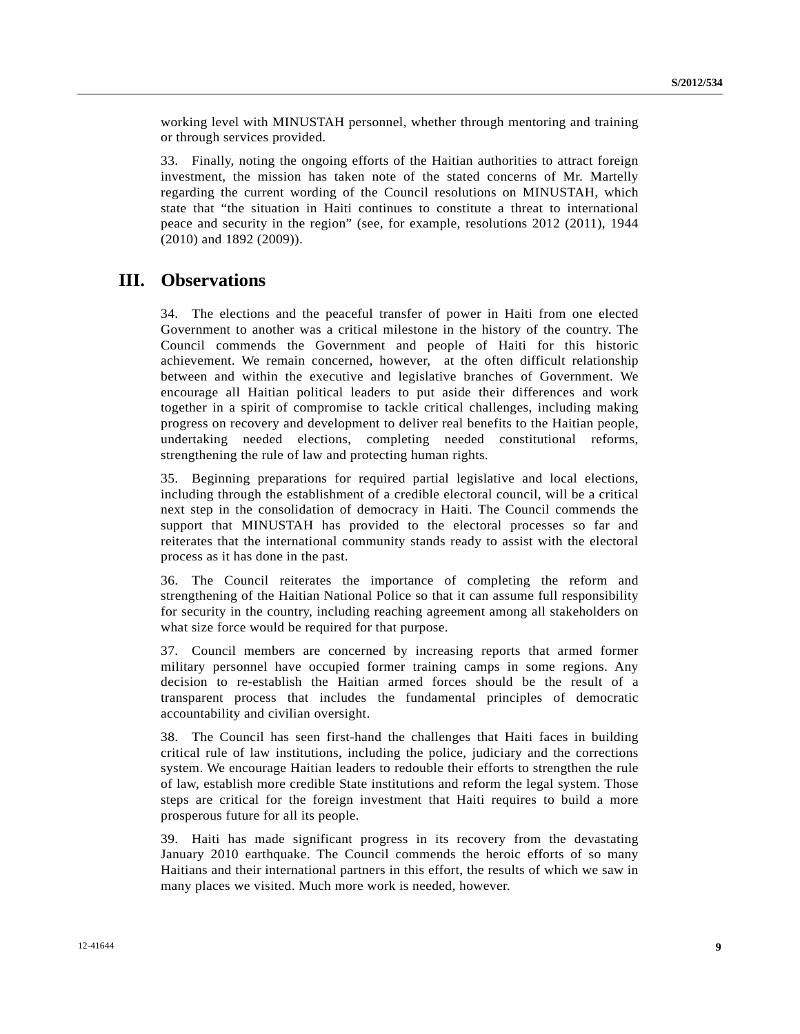working level with MINUSTAH personnel, whether through mentoring and training or through services provided.

33. Finally, noting the ongoing efforts of the Haitian authorities to attract foreign investment, the mission has taken note of the stated concerns of Mr. Martelly regarding the current wording of the Council resolutions on MINUSTAH, which state that "the situation in Haiti continues to constitute a threat to international peace and security in the region" (see, for example, resolutions 2012 (2011), 1944 (2010) and 1892 (2009)).

## **III. Observations**

34. The elections and the peaceful transfer of power in Haiti from one elected Government to another was a critical milestone in the history of the country. The Council commends the Government and people of Haiti for this historic achievement. We remain concerned, however, at the often difficult relationship between and within the executive and legislative branches of Government. We encourage all Haitian political leaders to put aside their differences and work together in a spirit of compromise to tackle critical challenges, including making progress on recovery and development to deliver real benefits to the Haitian people, undertaking needed elections, completing needed constitutional reforms, strengthening the rule of law and protecting human rights.

35. Beginning preparations for required partial legislative and local elections, including through the establishment of a credible electoral council, will be a critical next step in the consolidation of democracy in Haiti. The Council commends the support that MINUSTAH has provided to the electoral processes so far and reiterates that the international community stands ready to assist with the electoral process as it has done in the past.

36. The Council reiterates the importance of completing the reform and strengthening of the Haitian National Police so that it can assume full responsibility for security in the country, including reaching agreement among all stakeholders on what size force would be required for that purpose.

37. Council members are concerned by increasing reports that armed former military personnel have occupied former training camps in some regions. Any decision to re-establish the Haitian armed forces should be the result of a transparent process that includes the fundamental principles of democratic accountability and civilian oversight.

38. The Council has seen first-hand the challenges that Haiti faces in building critical rule of law institutions, including the police, judiciary and the corrections system. We encourage Haitian leaders to redouble their efforts to strengthen the rule of law, establish more credible State institutions and reform the legal system. Those steps are critical for the foreign investment that Haiti requires to build a more prosperous future for all its people.

39. Haiti has made significant progress in its recovery from the devastating January 2010 earthquake. The Council commends the heroic efforts of so many Haitians and their international partners in this effort, the results of which we saw in many places we visited. Much more work is needed, however.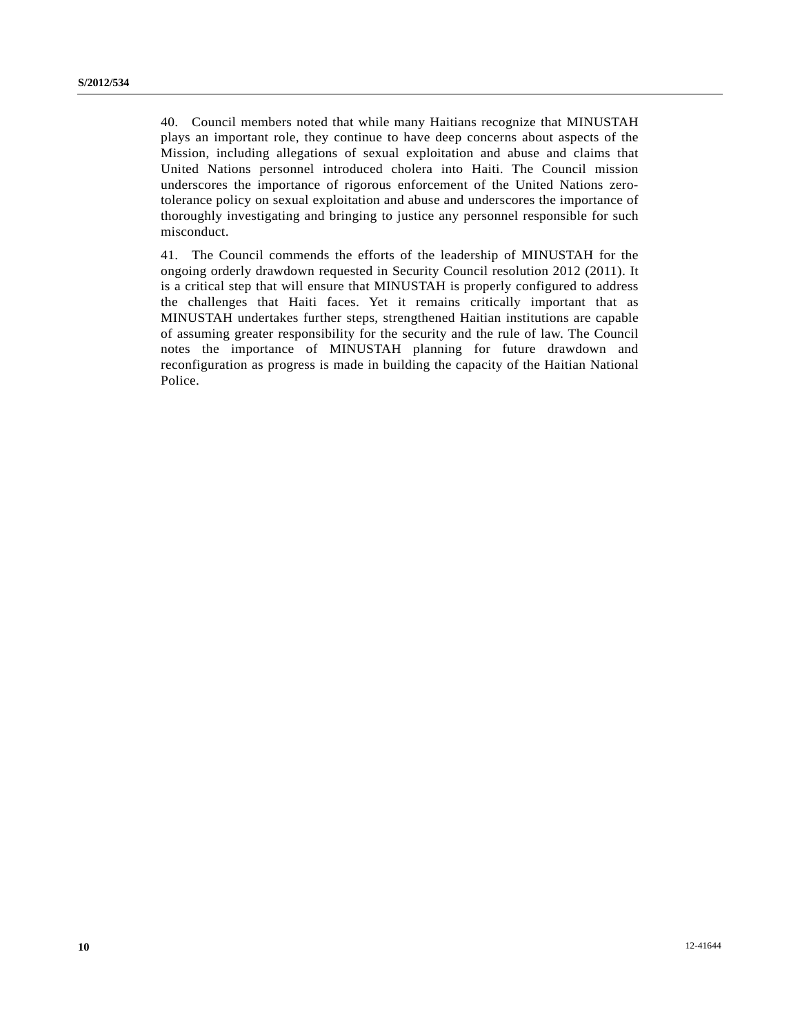40. Council members noted that while many Haitians recognize that MINUSTAH plays an important role, they continue to have deep concerns about aspects of the Mission, including allegations of sexual exploitation and abuse and claims that United Nations personnel introduced cholera into Haiti. The Council mission underscores the importance of rigorous enforcement of the United Nations zerotolerance policy on sexual exploitation and abuse and underscores the importance of thoroughly investigating and bringing to justice any personnel responsible for such misconduct.

41. The Council commends the efforts of the leadership of MINUSTAH for the ongoing orderly drawdown requested in Security Council resolution 2012 (2011). It is a critical step that will ensure that MINUSTAH is properly configured to address the challenges that Haiti faces. Yet it remains critically important that as MINUSTAH undertakes further steps, strengthened Haitian institutions are capable of assuming greater responsibility for the security and the rule of law. The Council notes the importance of MINUSTAH planning for future drawdown and reconfiguration as progress is made in building the capacity of the Haitian National Police.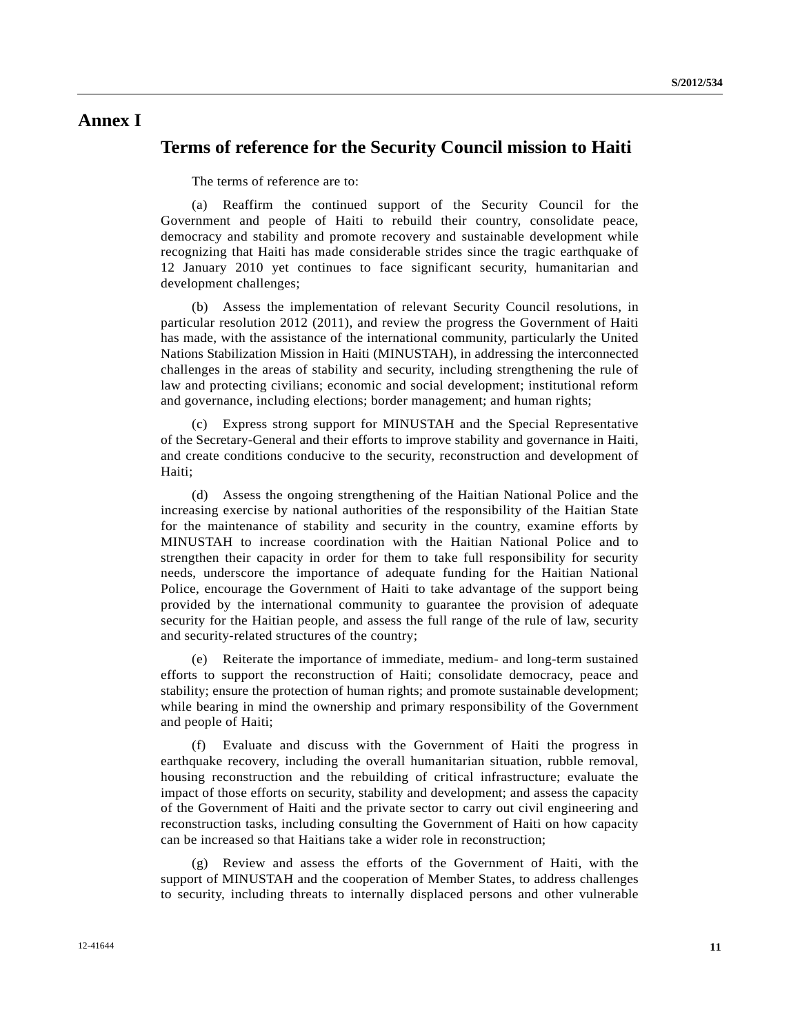## **Annex I**

#### **Terms of reference for the Security Council mission to Haiti**

The terms of reference are to:

 (a) Reaffirm the continued support of the Security Council for the Government and people of Haiti to rebuild their country, consolidate peace, democracy and stability and promote recovery and sustainable development while recognizing that Haiti has made considerable strides since the tragic earthquake of 12 January 2010 yet continues to face significant security, humanitarian and development challenges;

 (b) Assess the implementation of relevant Security Council resolutions, in particular resolution 2012 (2011), and review the progress the Government of Haiti has made, with the assistance of the international community, particularly the United Nations Stabilization Mission in Haiti (MINUSTAH), in addressing the interconnected challenges in the areas of stability and security, including strengthening the rule of law and protecting civilians; economic and social development; institutional reform and governance, including elections; border management; and human rights;

 (c) Express strong support for MINUSTAH and the Special Representative of the Secretary-General and their efforts to improve stability and governance in Haiti, and create conditions conducive to the security, reconstruction and development of Haiti;

 (d) Assess the ongoing strengthening of the Haitian National Police and the increasing exercise by national authorities of the responsibility of the Haitian State for the maintenance of stability and security in the country, examine efforts by MINUSTAH to increase coordination with the Haitian National Police and to strengthen their capacity in order for them to take full responsibility for security needs, underscore the importance of adequate funding for the Haitian National Police, encourage the Government of Haiti to take advantage of the support being provided by the international community to guarantee the provision of adequate security for the Haitian people, and assess the full range of the rule of law, security and security-related structures of the country;

 (e) Reiterate the importance of immediate, medium- and long-term sustained efforts to support the reconstruction of Haiti; consolidate democracy, peace and stability; ensure the protection of human rights; and promote sustainable development; while bearing in mind the ownership and primary responsibility of the Government and people of Haiti;

 (f) Evaluate and discuss with the Government of Haiti the progress in earthquake recovery, including the overall humanitarian situation, rubble removal, housing reconstruction and the rebuilding of critical infrastructure; evaluate the impact of those efforts on security, stability and development; and assess the capacity of the Government of Haiti and the private sector to carry out civil engineering and reconstruction tasks, including consulting the Government of Haiti on how capacity can be increased so that Haitians take a wider role in reconstruction;

 (g) Review and assess the efforts of the Government of Haiti, with the support of MINUSTAH and the cooperation of Member States, to address challenges to security, including threats to internally displaced persons and other vulnerable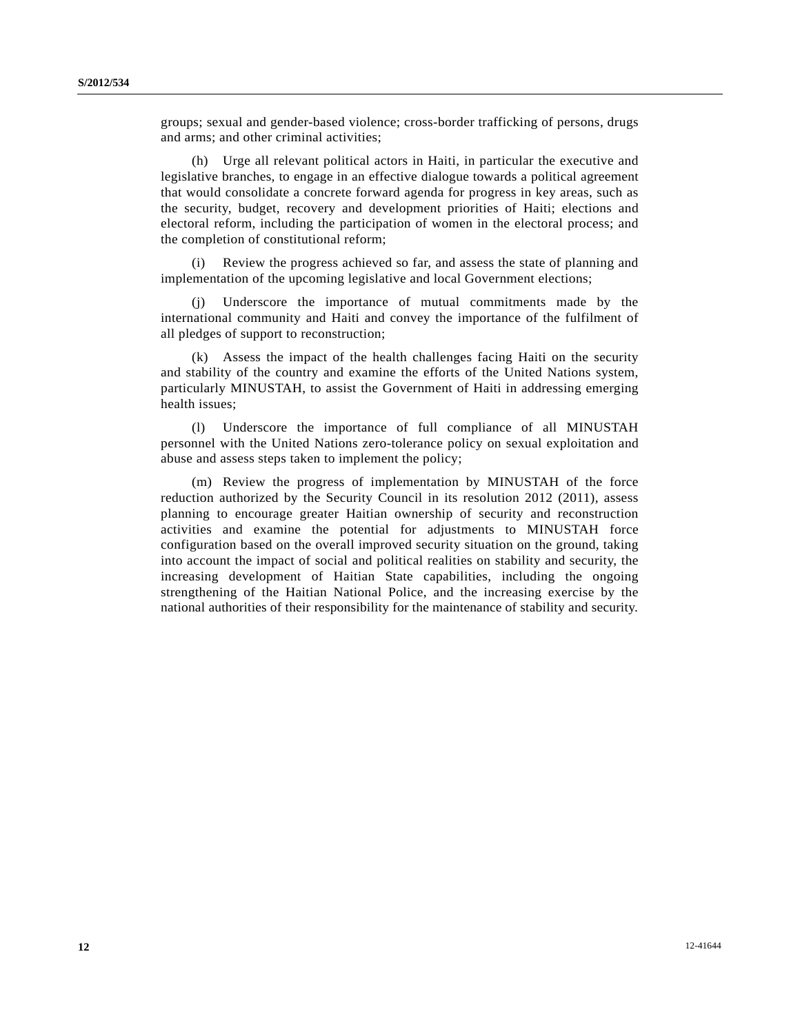groups; sexual and gender-based violence; cross-border trafficking of persons, drugs and arms; and other criminal activities;

 (h) Urge all relevant political actors in Haiti, in particular the executive and legislative branches, to engage in an effective dialogue towards a political agreement that would consolidate a concrete forward agenda for progress in key areas, such as the security, budget, recovery and development priorities of Haiti; elections and electoral reform, including the participation of women in the electoral process; and the completion of constitutional reform;

 (i) Review the progress achieved so far, and assess the state of planning and implementation of the upcoming legislative and local Government elections;

Underscore the importance of mutual commitments made by the international community and Haiti and convey the importance of the fulfilment of all pledges of support to reconstruction;

 (k) Assess the impact of the health challenges facing Haiti on the security and stability of the country and examine the efforts of the United Nations system, particularly MINUSTAH, to assist the Government of Haiti in addressing emerging health issues;

 (l) Underscore the importance of full compliance of all MINUSTAH personnel with the United Nations zero-tolerance policy on sexual exploitation and abuse and assess steps taken to implement the policy;

 (m) Review the progress of implementation by MINUSTAH of the force reduction authorized by the Security Council in its resolution 2012 (2011), assess planning to encourage greater Haitian ownership of security and reconstruction activities and examine the potential for adjustments to MINUSTAH force configuration based on the overall improved security situation on the ground, taking into account the impact of social and political realities on stability and security, the increasing development of Haitian State capabilities, including the ongoing strengthening of the Haitian National Police, and the increasing exercise by the national authorities of their responsibility for the maintenance of stability and security.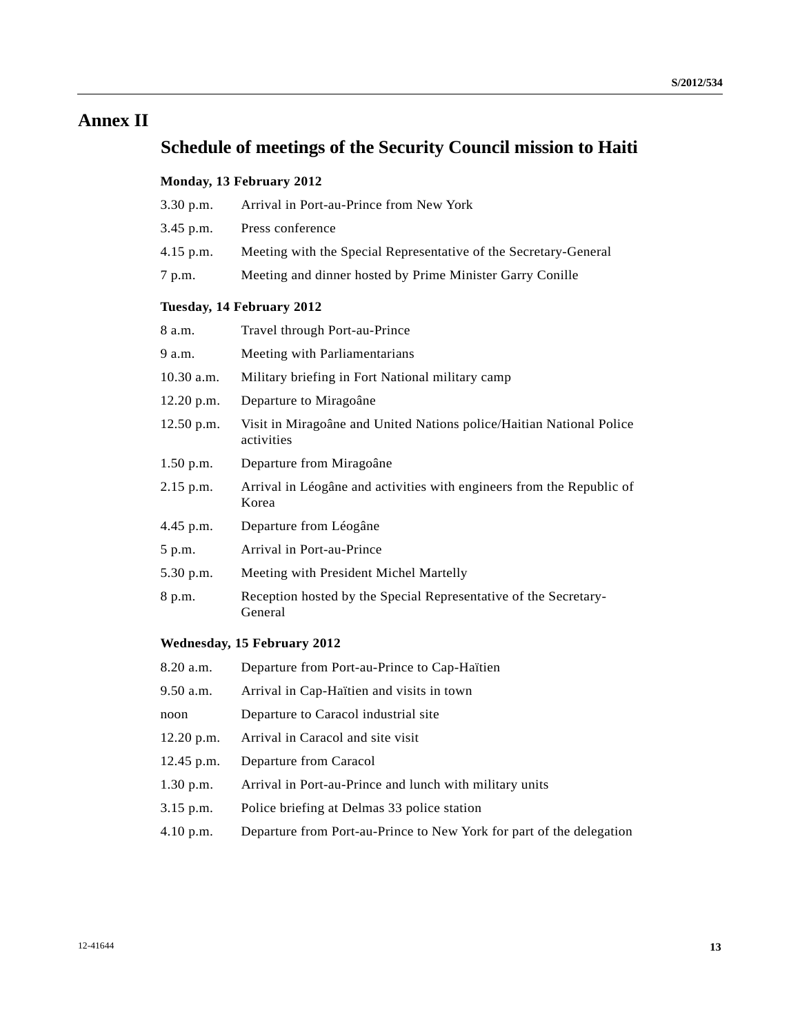## **Annex II**

# **Schedule of meetings of the Security Council mission to Haiti**

## **Monday, 13 February 2012**

| $3.30$ p.m.               | Arrival in Port-au-Prince from New York                                            |  |  |
|---------------------------|------------------------------------------------------------------------------------|--|--|
| 3.45 p.m.                 | Press conference                                                                   |  |  |
| $4.15$ p.m.               | Meeting with the Special Representative of the Secretary-General                   |  |  |
| 7 p.m.                    | Meeting and dinner hosted by Prime Minister Garry Conille                          |  |  |
| Tuesday, 14 February 2012 |                                                                                    |  |  |
| 8 a.m.                    | Travel through Port-au-Prince                                                      |  |  |
| 9 a.m.                    | Meeting with Parliamentarians                                                      |  |  |
| $10.30$ a.m.              | Military briefing in Fort National military camp                                   |  |  |
| 12.20 p.m.                | Departure to Miragoâne                                                             |  |  |
| 12.50 p.m.                | Visit in Miragoâne and United Nations police/Haitian National Police<br>activities |  |  |
| $1.50$ p.m.               | Departure from Miragoâne                                                           |  |  |
| $2.15$ p.m.               | Arrival in Léogâne and activities with engineers from the Republic of<br>Korea     |  |  |
| 4.45 p.m.                 | Departure from Léogâne                                                             |  |  |
| 5 p.m.                    | Arrival in Port-au-Prince                                                          |  |  |
| 5.30 p.m.                 | Meeting with President Michel Martelly                                             |  |  |
| 8 p.m.                    | Reception hosted by the Special Representative of the Secretary-<br>General        |  |  |

#### **Wednesday, 15 February 2012**

| 8.20 a.m.    | Departure from Port-au-Prince to Cap-Haïtien                         |
|--------------|----------------------------------------------------------------------|
| 9.50 a.m.    | Arrival in Cap-Haïtien and visits in town                            |
| noon         | Departure to Caracol industrial site                                 |
| $12.20$ p.m. | Arrival in Caracol and site visit                                    |
| $12.45$ p.m. | Departure from Caracol                                               |
| $1.30$ p.m.  | Arrival in Port-au-Prince and lunch with military units              |
| 3.15 p.m.    | Police briefing at Delmas 33 police station                          |
| 4.10 p.m.    | Departure from Port-au-Prince to New York for part of the delegation |